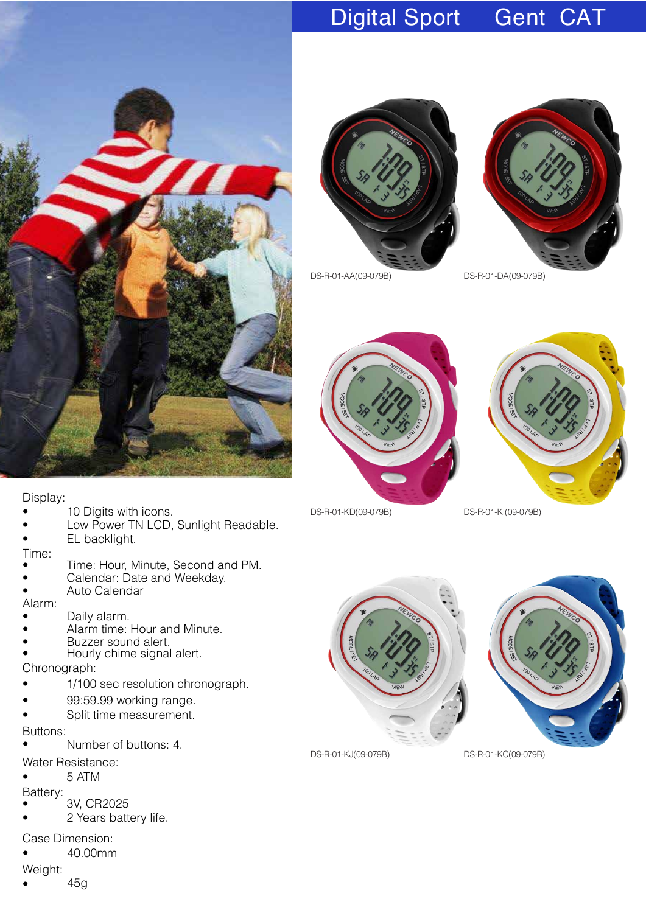

### Digital Sport Gent CAT





DS-R-01-AA(09-079B) DS-R-01-DA(09-079B)









DS-R-01-KJ(09-079B) DS-R-01-KC(09-079B)

Display:

- 10 Digits with icons.
- Low Power TN LCD, Sunlight Readable.
- EL backlight.

Time:

- Time: Hour, Minute, Second and PM.
- Calendar: Date and Weekday.
- Auto Calendar

Alarm:

- Daily alarm.
- Alarm time: Hour and Minute.
- Buzzer sound alert.
- Hourly chime signal alert.

Chronograph:

- 1/100 sec resolution chronograph.
- 99:59.99 working range.
- Split time measurement.

Buttons:

- Number of buttons: 4.
- Water Resistance:

 $•$  5 ATM

- Batte ry:
- 3V, CR2025
- 2 Years battery life.

Case Dimension:

• 40.00mm

Weight:

• 45g

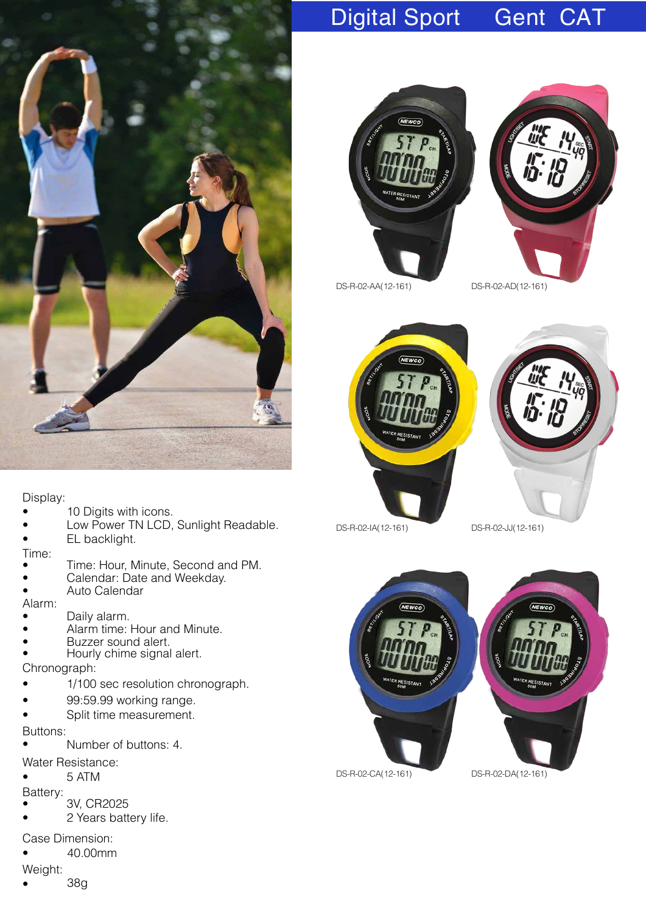

### Display:

- 10 Digits with icons.
- Low Power TN LCD, Sunlight Readable.
- EL backlight.

Time:

- Time: Hour, Minute, Second and PM.
- Calendar: Date and Weekday.
- Auto Calendar

Alarm:

- Daily alarm.
- Alarm time: Hour and Minute.
- Buzzer sound alert.
- Hourly chime signal alert.

Chronograph:

- 1/100 sec resolution chronograph.
- 99:59.99 working range.
- Split time measurement.

Buttons:

- Number of buttons: 4.
- Water Resistance:

 $• 5 ATM$ 

- Batte ry:
- 3V, CR2025

2 Years battery life.

Case Dimension:

• 40.00mm

Weight:

• 38g

## Digital Sport Gent CAT





DS-R-02-AA(12-161) DS-R-02-AD(12-161)





DS-R-02-IA(12-161) DS-R-02-JJ(12-161)